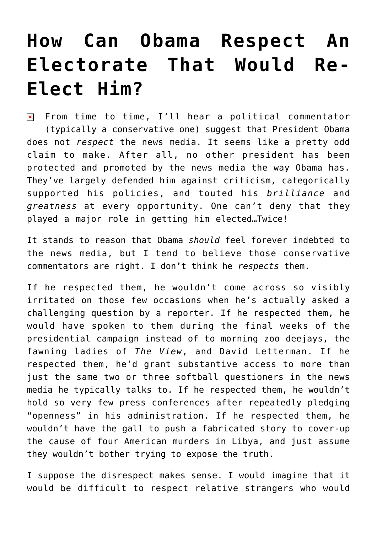## **[How Can Obama Respect An](https://bernardgoldberg.com/how-can-obama-respect-an-electorate-that-would-re-elect-him/) [Electorate That Would Re-](https://bernardgoldberg.com/how-can-obama-respect-an-electorate-that-would-re-elect-him/)[Elect Him?](https://bernardgoldberg.com/how-can-obama-respect-an-electorate-that-would-re-elect-him/)**

 $\boxed{\times}$  From time to time, I'll hear a political commentator (typically a conservative one) suggest that President Obama does not *respect* the news media. It seems like a pretty odd claim to make. After all, no other president has been protected and promoted by the news media the way Obama has. They've largely defended him against criticism, categorically supported his policies, and touted his *brilliance* and *greatness* at every opportunity. One can't deny that they played a major role in getting him elected…Twice!

It stands to reason that Obama *should* feel forever indebted to the news media, but I tend to believe those conservative commentators are right. I don't think he *respects* them.

If he respected them, he wouldn't come across so visibly irritated on those few occasions when he's actually asked a challenging question by a reporter. If he respected them, he would have spoken to them during the final weeks of the presidential campaign instead of to morning zoo deejays, the fawning ladies of *The View*, and David Letterman. If he respected them, he'd grant substantive access to more than just the same two or three softball questioners in the news media he typically talks to. If he respected them, he wouldn't hold so very few press conferences after repeatedly pledging "openness" in his administration. If he respected them, he wouldn't have the gall to push a fabricated story to cover-up the cause of four American murders in Libya, and just assume they wouldn't bother trying to expose the truth.

I suppose the disrespect makes sense. I would imagine that it would be difficult to respect relative strangers who would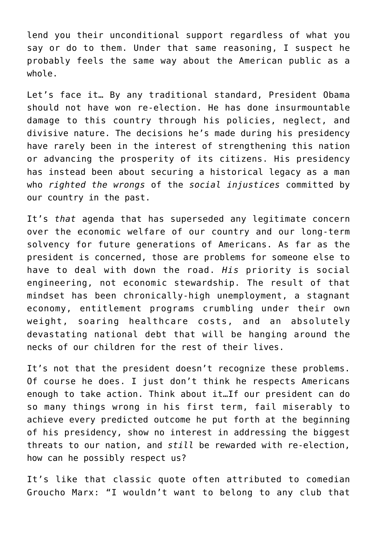lend you their unconditional support regardless of what you say or do to them. Under that same reasoning, I suspect he probably feels the same way about the American public as a whole.

Let's face it… By any traditional standard, President Obama should not have won re-election. He has done insurmountable damage to this country through his policies, neglect, and divisive nature. The decisions he's made during his presidency have rarely been in the interest of strengthening this nation or advancing the prosperity of its citizens. His presidency has instead been about securing a historical legacy as a man who *righted the wrongs* of the *social injustices* committed by our country in the past.

It's *that* agenda that has superseded any legitimate concern over the economic welfare of our country and our long-term solvency for future generations of Americans. As far as the president is concerned, those are problems for someone else to have to deal with down the road. *His* priority is social engineering, not economic stewardship. The result of that mindset has been chronically-high unemployment, a stagnant economy, entitlement programs crumbling under their own weight, soaring healthcare costs, and an absolutely devastating national debt that will be hanging around the necks of our children for the rest of their lives.

It's not that the president doesn't recognize these problems. Of course he does. I just don't think he respects Americans enough to take action. Think about it…If our president can do so many things wrong in his first term, fail miserably to achieve every predicted outcome he put forth at the beginning of his presidency, show no interest in addressing the biggest threats to our nation, and *still* be rewarded with re-election, how can he possibly respect us?

It's like that classic quote often attributed to comedian Groucho Marx: "I wouldn't want to belong to any club that